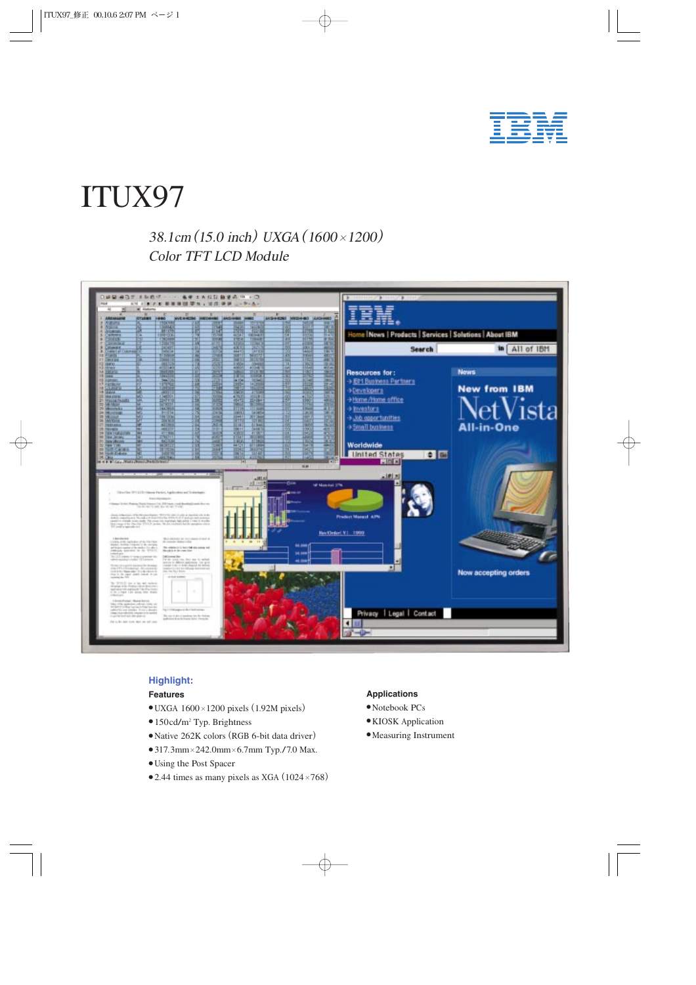

# ITUX97

38.1cm (15.0 inch) UXGA (1600 × 1200) Colo<sup>r</sup> TFT LCD Modul<sup>e</sup>



# **Highlight:**

## **Features**

- $\bullet$  UXGA 1600 $\times$ 1200 pixels (1.92M pixels)
- 150cd/m<sup>2</sup> Typ. Brightness
- Nativ<sup>e</sup> <sup>262</sup>K colors(RGB 6-bit data driver)
- 317.3mm×242.0mm×6.7mm Typ./7.0 Max.
- Using the Post Spacer
- $\bullet$  2.44 times as many pixels as XGA (1024×768)

#### **Applications**

- Notebook PCs
- KIOSK Application
- Measuring Instrument